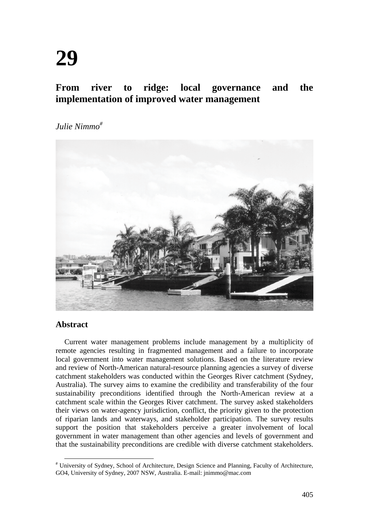# **From river to ridge: local governance and the implementation of improved water management**

*Julie Nimmo#*



## **Abstract**

Current water management problems include management by a multiplicity of remote agencies resulting in fragmented management and a failure to incorporate local government into water management solutions. Based on the literature review and review of North-American natural-resource planning agencies a survey of diverse catchment stakeholders was conducted within the Georges River catchment (Sydney, Australia). The survey aims to examine the credibility and transferability of the four sustainability preconditions identified through the North-American review at a catchment scale within the Georges River catchment. The survey asked stakeholders their views on water-agency jurisdiction, conflict, the priority given to the protection of riparian lands and waterways, and stakeholder participation. The survey results support the position that stakeholders perceive a greater involvement of local government in water management than other agencies and levels of government and that the sustainability preconditions are credible with diverse catchment stakeholders.

<sup>#</sup> University of Sydney, School of Architecture, Design Science and Planning, Faculty of Architecture, GO4, University of Sydney, 2007 NSW, Australia. E-mail: jnimmo@mac.com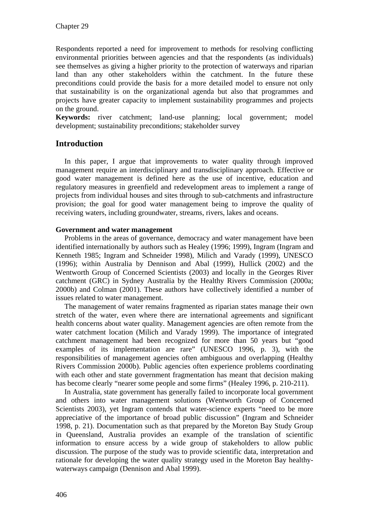Respondents reported a need for improvement to methods for resolving conflicting environmental priorities between agencies and that the respondents (as individuals) see themselves as giving a higher priority to the protection of waterways and riparian land than any other stakeholders within the catchment. In the future these preconditions could provide the basis for a more detailed model to ensure not only that sustainability is on the organizational agenda but also that programmes and projects have greater capacity to implement sustainability programmes and projects on the ground.

**Keywords:** river catchment; land-use planning; local government; model development; sustainability preconditions; stakeholder survey

## **Introduction**

In this paper, I argue that improvements to water quality through improved management require an interdisciplinary and transdisciplinary approach. Effective or good water management is defined here as the use of incentive, education and regulatory measures in greenfield and redevelopment areas to implement a range of projects from individual houses and sites through to sub-catchments and infrastructure provision; the goal for good water management being to improve the quality of receiving waters, including groundwater, streams, rivers, lakes and oceans.

### **Government and water management**

Problems in the areas of governance, democracy and water management have been identified internationally by authors such as Healey (1996; 1999), Ingram (Ingram and Kenneth 1985; Ingram and Schneider 1998), Milich and Varady (1999), UNESCO (1996); within Australia by Dennison and Abal (1999), Hullick (2002) and the Wentworth Group of Concerned Scientists (2003) and locally in the Georges River catchment (GRC) in Sydney Australia by the Healthy Rivers Commission (2000a; 2000b) and Colman (2001). These authors have collectively identified a number of issues related to water management.

The management of water remains fragmented as riparian states manage their own stretch of the water, even where there are international agreements and significant health concerns about water quality. Management agencies are often remote from the water catchment location (Milich and Varady 1999). The importance of integrated catchment management had been recognized for more than 50 years but "good examples of its implementation are rare" (UNESCO 1996, p. 3), with the responsibilities of management agencies often ambiguous and overlapping (Healthy Rivers Commission 2000b). Public agencies often experience problems coordinating with each other and state government fragmentation has meant that decision making has become clearly "nearer some people and some firms" (Healey 1996, p. 210-211).

In Australia, state government has generally failed to incorporate local government and others into water management solutions (Wentworth Group of Concerned Scientists 2003), yet Ingram contends that water-science experts "need to be more appreciative of the importance of broad public discussion" (Ingram and Schneider 1998, p. 21). Documentation such as that prepared by the Moreton Bay Study Group in Queensland, Australia provides an example of the translation of scientific information to ensure access by a wide group of stakeholders to allow public discussion. The purpose of the study was to provide scientific data, interpretation and rationale for developing the water quality strategy used in the Moreton Bay healthywaterways campaign (Dennison and Abal 1999).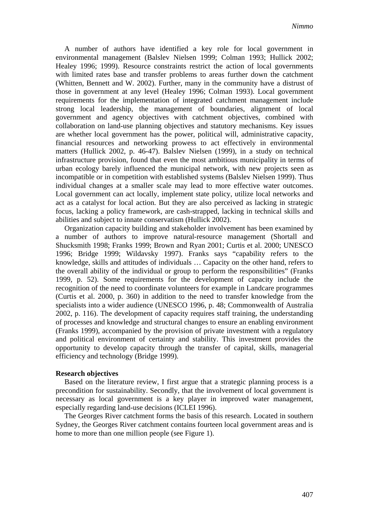A number of authors have identified a key role for local government in environmental management (Balslev Nielsen 1999; Colman 1993; Hullick 2002; Healey 1996; 1999). Resource constraints restrict the action of local governments with limited rates base and transfer problems to areas further down the catchment (Whitten, Bennett and W. 2002). Further, many in the community have a distrust of those in government at any level (Healey 1996; Colman 1993). Local government requirements for the implementation of integrated catchment management include strong local leadership, the management of boundaries, alignment of local government and agency objectives with catchment objectives, combined with collaboration on land-use planning objectives and statutory mechanisms. Key issues are whether local government has the power, political will, administrative capacity, financial resources and networking prowess to act effectively in environmental matters (Hullick 2002, p. 46-47). Balslev Nielsen (1999), in a study on technical infrastructure provision, found that even the most ambitious municipality in terms of urban ecology barely influenced the municipal network, with new projects seen as incompatible or in competition with established systems (Balslev Nielsen 1999). Thus individual changes at a smaller scale may lead to more effective water outcomes. Local government can act locally, implement state policy, utilize local networks and act as a catalyst for local action. But they are also perceived as lacking in strategic focus, lacking a policy framework, are cash-strapped, lacking in technical skills and abilities and subject to innate conservatism (Hullick 2002).

Organization capacity building and stakeholder involvement has been examined by a number of authors to improve natural-resource management (Shortall and Shucksmith 1998; Franks 1999; Brown and Ryan 2001; Curtis et al. 2000; UNESCO 1996; Bridge 1999; Wildavsky 1997). Franks says "capability refers to the knowledge, skills and attitudes of individuals … Capacity on the other hand, refers to the overall ability of the individual or group to perform the responsibilities" (Franks 1999, p. 52). Some requirements for the development of capacity include the recognition of the need to coordinate volunteers for example in Landcare programmes (Curtis et al. 2000, p. 360) in addition to the need to transfer knowledge from the specialists into a wider audience (UNESCO 1996, p. 48; Commonwealth of Australia 2002, p. 116). The development of capacity requires staff training, the understanding of processes and knowledge and structural changes to ensure an enabling environment (Franks 1999), accompanied by the provision of private investment with a regulatory and political environment of certainty and stability. This investment provides the opportunity to develop capacity through the transfer of capital, skills, managerial efficiency and technology (Bridge 1999).

#### **Research objectives**

Based on the literature review, I first argue that a strategic planning process is a precondition for sustainability. Secondly, that the involvement of local government is necessary as local government is a key player in improved water management, especially regarding land-use decisions (ICLEI 1996).

The Georges River catchment forms the basis of this research. Located in southern Sydney, the Georges River catchment contains fourteen local government areas and is home to more than one million people (see Figure 1).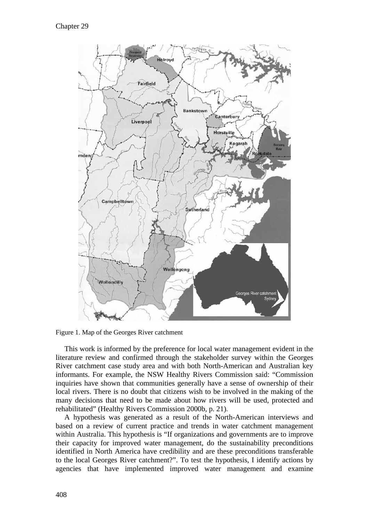

Figure 1. Map of the Georges River catchment

This work is informed by the preference for local water management evident in the literature review and confirmed through the stakeholder survey within the Georges River catchment case study area and with both North-American and Australian key informants. For example, the NSW Healthy Rivers Commission said: "Commission inquiries have shown that communities generally have a sense of ownership of their local rivers. There is no doubt that citizens wish to be involved in the making of the many decisions that need to be made about how rivers will be used, protected and rehabilitated" (Healthy Rivers Commission 2000b, p. 21).

A hypothesis was generated as a result of the North-American interviews and based on a review of current practice and trends in water catchment management within Australia. This hypothesis is "If organizations and governments are to improve their capacity for improved water management, do the sustainability preconditions identified in North America have credibility and are these preconditions transferable to the local Georges River catchment?". To test the hypothesis, I identify actions by agencies that have implemented improved water management and examine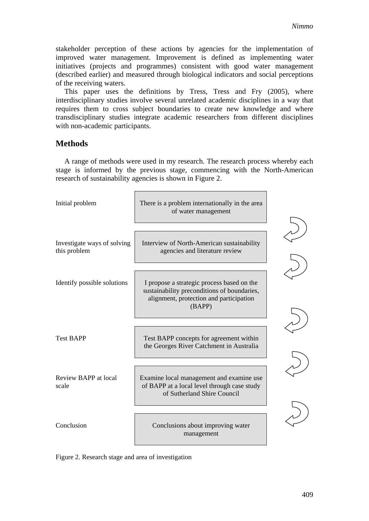stakeholder perception of these actions by agencies for the implementation of improved water management. Improvement is defined as implementing water initiatives (projects and programmes) consistent with good water management (described earlier) and measured through biological indicators and social perceptions of the receiving waters.

This paper uses the definitions by Tress, Tress and Fry (2005), where interdisciplinary studies involve several unrelated academic disciplines in a way that requires them to cross subject boundaries to create new knowledge and where transdisciplinary studies integrate academic researchers from different disciplines with non-academic participants.

## **Methods**

A range of methods were used in my research. The research process whereby each stage is informed by the previous stage, commencing with the North-American research of sustainability agencies is shown in Figure 2.



Figure 2. Research stage and area of investigation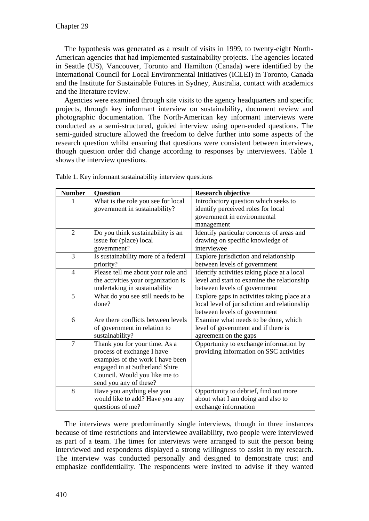The hypothesis was generated as a result of visits in 1999, to twenty-eight North-American agencies that had implemented sustainability projects. The agencies located in Seattle (US), Vancouver, Toronto and Hamilton (Canada) were identified by the International Council for Local Environmental Initiatives (ICLEI) in Toronto, Canada and the Institute for Sustainable Futures in Sydney, Australia, contact with academics and the literature review.

Agencies were examined through site visits to the agency headquarters and specific projects, through key informant interview on sustainability, document review and photographic documentation. The North-American key informant interviews were conducted as a semi-structured, guided interview using open-ended questions. The semi-guided structure allowed the freedom to delve further into some aspects of the research question whilst ensuring that questions were consistent between interviews, though question order did change according to responses by interviewees. Table 1 shows the interview questions.

| <b>Number</b>  | <b>Question</b>                     | <b>Research objective</b>                    |
|----------------|-------------------------------------|----------------------------------------------|
|                | What is the role you see for local  | Introductory question which seeks to         |
|                | government in sustainability?       | identify perceived roles for local           |
|                |                                     | government in environmental                  |
|                |                                     | management                                   |
| $\overline{2}$ | Do you think sustainability is an   | Identify particular concerns of areas and    |
|                | issue for (place) local             | drawing on specific knowledge of             |
|                | government?                         | interviewee                                  |
| 3              | Is sustainability more of a federal | Explore jurisdiction and relationship        |
|                | priority?                           | between levels of government                 |
| 4              | Please tell me about your role and  | Identify activities taking place at a local  |
|                | the activities your organization is | level and start to examine the relationship  |
|                | undertaking in sustainability       | between levels of government                 |
| 5              | What do you see still needs to be   | Explore gaps in activities taking place at a |
|                | done?                               | local level of jurisdiction and relationship |
|                |                                     | between levels of government                 |
| 6              | Are there conflicts between levels  | Examine what needs to be done, which         |
|                | of government in relation to        | level of government and if there is          |
|                | sustainability?                     | agreement on the gaps                        |
| $\overline{7}$ | Thank you for your time. As a       | Opportunity to exchange information by       |
|                | process of exchange I have          | providing information on SSC activities      |
|                | examples of the work I have been    |                                              |
|                | engaged in at Sutherland Shire      |                                              |
|                | Council. Would you like me to       |                                              |
|                | send you any of these?              |                                              |
| 8              | Have you anything else you          | Opportunity to debrief, find out more        |
|                | would like to add? Have you any     | about what I am doing and also to            |
|                | questions of me?                    | exchange information                         |

Table 1. Key informant sustainability interview questions

The interviews were predominantly single interviews, though in three instances because of time restrictions and interviewee availability, two people were interviewed as part of a team. The times for interviews were arranged to suit the person being interviewed and respondents displayed a strong willingness to assist in my research. The interview was conducted personally and designed to demonstrate trust and emphasize confidentiality. The respondents were invited to advise if they wanted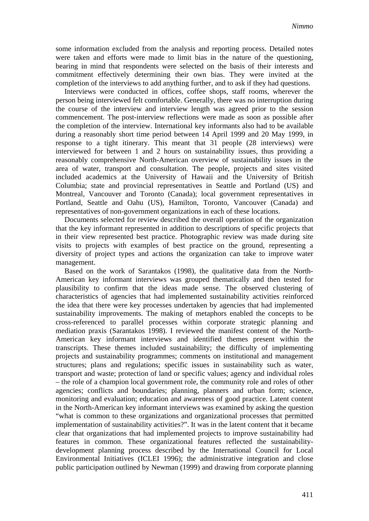some information excluded from the analysis and reporting process. Detailed notes were taken and efforts were made to limit bias in the nature of the questioning, bearing in mind that respondents were selected on the basis of their interests and commitment effectively determining their own bias. They were invited at the completion of the interviews to add anything further, and to ask if they had questions.

Interviews were conducted in offices, coffee shops, staff rooms, wherever the person being interviewed felt comfortable. Generally, there was no interruption during the course of the interview and interview length was agreed prior to the session commencement. The post-interview reflections were made as soon as possible after the completion of the interview. International key informants also had to be available during a reasonably short time period between 14 April 1999 and 20 May 1999, in response to a tight itinerary. This meant that 31 people (28 interviews) were interviewed for between 1 and 2 hours on sustainability issues, thus providing a reasonably comprehensive North-American overview of sustainability issues in the area of water, transport and consultation. The people, projects and sites visited included academics at the University of Hawaii and the University of British Columbia; state and provincial representatives in Seattle and Portland (US) and Montreal, Vancouver and Toronto (Canada); local government representatives in Portland, Seattle and Oahu (US), Hamilton, Toronto, Vancouver (Canada) and representatives of non-government organizations in each of these locations.

Documents selected for review described the overall operation of the organization that the key informant represented in addition to descriptions of specific projects that in their view represented best practice. Photographic review was made during site visits to projects with examples of best practice on the ground, representing a diversity of project types and actions the organization can take to improve water management.

Based on the work of Sarantakos (1998), the qualitative data from the North-American key informant interviews was grouped thematically and then tested for plausibility to confirm that the ideas made sense. The observed clustering of characteristics of agencies that had implemented sustainability activities reinforced the idea that there were key processes undertaken by agencies that had implemented sustainability improvements. The making of metaphors enabled the concepts to be cross-referenced to parallel processes within corporate strategic planning and mediation praxis (Sarantakos 1998). I reviewed the manifest content of the North-American key informant interviews and identified themes present within the transcripts. These themes included sustainability; the difficulty of implementing projects and sustainability programmes; comments on institutional and management structures; plans and regulations; specific issues in sustainability such as water, transport and waste; protection of land or specific values; agency and individual roles – the role of a champion local government role, the community role and roles of other agencies; conflicts and boundaries; planning, planners and urban form; science, monitoring and evaluation; education and awareness of good practice. Latent content in the North-American key informant interviews was examined by asking the question "what is common to these organizations and organizational processes that permitted implementation of sustainability activities?". It was in the latent content that it became clear that organizations that had implemented projects to improve sustainability had features in common. These organizational features reflected the sustainabilitydevelopment planning process described by the International Council for Local Environmental Initiatives (ICLEI 1996); the administrative integration and close public participation outlined by Newman (1999) and drawing from corporate planning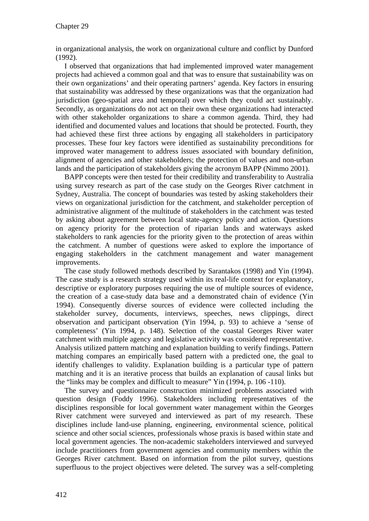in organizational analysis, the work on organizational culture and conflict by Dunford (1992).

I observed that organizations that had implemented improved water management projects had achieved a common goal and that was to ensure that sustainability was on their own organizations' and their operating partners' agenda. Key factors in ensuring that sustainability was addressed by these organizations was that the organization had jurisdiction (geo-spatial area and temporal) over which they could act sustainably. Secondly, as organizations do not act on their own these organizations had interacted with other stakeholder organizations to share a common agenda. Third, they had identified and documented values and locations that should be protected. Fourth, they had achieved these first three actions by engaging all stakeholders in participatory processes. These four key factors were identified as sustainability preconditions for improved water management to address issues associated with boundary definition, alignment of agencies and other stakeholders; the protection of values and non-urban lands and the participation of stakeholders giving the acronym BAPP (Nimmo 2001).

BAPP concepts were then tested for their credibility and transferability to Australia using survey research as part of the case study on the Georges River catchment in Sydney, Australia. The concept of boundaries was tested by asking stakeholders their views on organizational jurisdiction for the catchment, and stakeholder perception of administrative alignment of the multitude of stakeholders in the catchment was tested by asking about agreement between local state-agency policy and action. Questions on agency priority for the protection of riparian lands and waterways asked stakeholders to rank agencies for the priority given to the protection of areas within the catchment. A number of questions were asked to explore the importance of engaging stakeholders in the catchment management and water management improvements.

The case study followed methods described by Sarantakos (1998) and Yin (1994). The case study is a research strategy used within its real-life context for explanatory, descriptive or exploratory purposes requiring the use of multiple sources of evidence, the creation of a case-study data base and a demonstrated chain of evidence (Yin 1994). Consequently diverse sources of evidence were collected including the stakeholder survey, documents, interviews, speeches, news clippings, direct observation and participant observation (Yin 1994, p. 93) to achieve a 'sense of completeness' (Yin 1994, p. 148). Selection of the coastal Georges River water catchment with multiple agency and legislative activity was considered representative. Analysis utilized pattern matching and explanation building to verify findings. Pattern matching compares an empirically based pattern with a predicted one, the goal to identify challenges to validity. Explanation building is a particular type of pattern matching and it is an iterative process that builds an explanation of causal links but the "links may be complex and difficult to measure" Yin (1994, p. 106 -110).

The survey and questionnaire construction minimized problems associated with question design (Foddy 1996). Stakeholders including representatives of the disciplines responsible for local government water management within the Georges River catchment were surveyed and interviewed as part of my research. These disciplines include land-use planning, engineering, environmental science, political science and other social sciences, professionals whose praxis is based within state and local government agencies. The non-academic stakeholders interviewed and surveyed include practitioners from government agencies and community members within the Georges River catchment. Based on information from the pilot survey, questions superfluous to the project objectives were deleted. The survey was a self-completing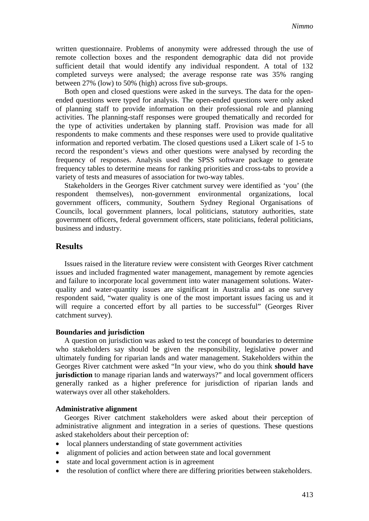written questionnaire. Problems of anonymity were addressed through the use of remote collection boxes and the respondent demographic data did not provide sufficient detail that would identify any individual respondent. A total of 132 completed surveys were analysed; the average response rate was 35% ranging between 27% (low) to 50% (high) across five sub-groups.

Both open and closed questions were asked in the surveys. The data for the openended questions were typed for analysis. The open-ended questions were only asked of planning staff to provide information on their professional role and planning activities. The planning-staff responses were grouped thematically and recorded for the type of activities undertaken by planning staff. Provision was made for all respondents to make comments and these responses were used to provide qualitative information and reported verbatim. The closed questions used a Likert scale of 1-5 to record the respondent's views and other questions were analysed by recording the frequency of responses. Analysis used the SPSS software package to generate frequency tables to determine means for ranking priorities and cross-tabs to provide a variety of tests and measures of association for two-way tables.

Stakeholders in the Georges River catchment survey were identified as 'you' (the respondent themselves), non-government environmental organizations, local government officers, community, Southern Sydney Regional Organisations of Councils, local government planners, local politicians, statutory authorities, state government officers, federal government officers, state politicians, federal politicians, business and industry.

## **Results**

Issues raised in the literature review were consistent with Georges River catchment issues and included fragmented water management, management by remote agencies and failure to incorporate local government into water management solutions. Waterquality and water-quantity issues are significant in Australia and as one survey respondent said, "water quality is one of the most important issues facing us and it will require a concerted effort by all parties to be successful" (Georges River catchment survey).

#### **Boundaries and jurisdiction**

A question on jurisdiction was asked to test the concept of boundaries to determine who stakeholders say should be given the responsibility, legislative power and ultimately funding for riparian lands and water management. Stakeholders within the Georges River catchment were asked "In your view, who do you think **should have jurisdiction** to manage riparian lands and waterways?" and local government officers generally ranked as a higher preference for jurisdiction of riparian lands and waterways over all other stakeholders.

#### **Administrative alignment**

Georges River catchment stakeholders were asked about their perception of administrative alignment and integration in a series of questions. These questions asked stakeholders about their perception of:

- local planners understanding of state government activities
- alignment of policies and action between state and local government
- state and local government action is in agreement
- the resolution of conflict where there are differing priorities between stakeholders.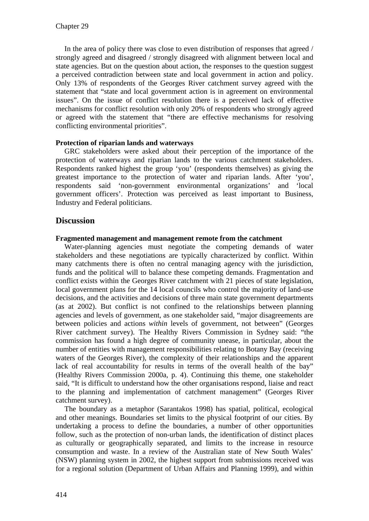In the area of policy there was close to even distribution of responses that agreed / strongly agreed and disagreed / strongly disagreed with alignment between local and state agencies. But on the question about action, the responses to the question suggest a perceived contradiction between state and local government in action and policy. Only 13% of respondents of the Georges River catchment survey agreed with the statement that "state and local government action is in agreement on environmental issues". On the issue of conflict resolution there is a perceived lack of effective mechanisms for conflict resolution with only 20% of respondents who strongly agreed or agreed with the statement that "there are effective mechanisms for resolving conflicting environmental priorities".

## **Protection of riparian lands and waterways**

GRC stakeholders were asked about their perception of the importance of the protection of waterways and riparian lands to the various catchment stakeholders. Respondents ranked highest the group 'you' (respondents themselves) as giving the greatest importance to the protection of water and riparian lands. After 'you', respondents said 'non-government environmental organizations' and 'local government officers'. Protection was perceived as least important to Business, Industry and Federal politicians.

## **Discussion**

## **Fragmented management and management remote from the catchment**

Water-planning agencies must negotiate the competing demands of water stakeholders and these negotiations are typically characterized by conflict. Within many catchments there is often no central managing agency with the jurisdiction, funds and the political will to balance these competing demands. Fragmentation and conflict exists within the Georges River catchment with 21 pieces of state legislation, local government plans for the 14 local councils who control the majority of land-use decisions, and the activities and decisions of three main state government departments (as at 2002). But conflict is not confined to the relationships between planning agencies and levels of government, as one stakeholder said, "major disagreements are between policies and actions *within* levels of government, not between" (Georges River catchment survey). The Healthy Rivers Commission in Sydney said: "the commission has found a high degree of community unease, in particular, about the number of entities with management responsibilities relating to Botany Bay (receiving waters of the Georges River), the complexity of their relationships and the apparent lack of real accountability for results in terms of the overall health of the bay" (Healthy Rivers Commission 2000a, p. 4). Continuing this theme, one stakeholder said, "It is difficult to understand how the other organisations respond, liaise and react to the planning and implementation of catchment management" (Georges River catchment survey).

The boundary as a metaphor (Sarantakos 1998) has spatial, political, ecological and other meanings. Boundaries set limits to the physical footprint of our cities. By undertaking a process to define the boundaries, a number of other opportunities follow, such as the protection of non-urban lands, the identification of distinct places as culturally or geographically separated, and limits to the increase in resource consumption and waste. In a review of the Australian state of New South Wales' (NSW) planning system in 2002, the highest support from submissions received was for a regional solution (Department of Urban Affairs and Planning 1999), and within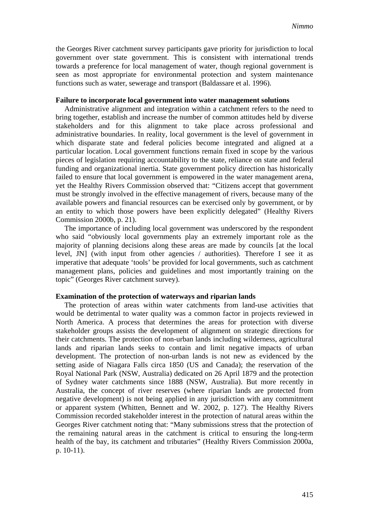the Georges River catchment survey participants gave priority for jurisdiction to local government over state government. This is consistent with international trends towards a preference for local management of water, though regional government is seen as most appropriate for environmental protection and system maintenance functions such as water, sewerage and transport (Baldassare et al. 1996).

#### **Failure to incorporate local government into water management solutions**

Administrative alignment and integration within a catchment refers to the need to bring together, establish and increase the number of common attitudes held by diverse stakeholders and for this alignment to take place across professional and administrative boundaries. In reality, local government is the level of government in which disparate state and federal policies become integrated and aligned at a particular location. Local government functions remain fixed in scope by the various pieces of legislation requiring accountability to the state, reliance on state and federal funding and organizational inertia. State government policy direction has historically failed to ensure that local government is empowered in the water management arena, yet the Healthy Rivers Commission observed that: "Citizens accept that government must be strongly involved in the effective management of rivers, because many of the available powers and financial resources can be exercised only by government, or by an entity to which those powers have been explicitly delegated" (Healthy Rivers Commission 2000b, p. 21).

The importance of including local government was underscored by the respondent who said "obviously local governments play an extremely important role as the majority of planning decisions along these areas are made by councils [at the local level, JN] (with input from other agencies / authorities). Therefore I see it as imperative that adequate 'tools' be provided for local governments, such as catchment management plans, policies and guidelines and most importantly training on the topic" (Georges River catchment survey).

#### **Examination of the protection of waterways and riparian lands**

The protection of areas within water catchments from land-use activities that would be detrimental to water quality was a common factor in projects reviewed in North America. A process that determines the areas for protection with diverse stakeholder groups assists the development of alignment on strategic directions for their catchments. The protection of non-urban lands including wilderness, agricultural lands and riparian lands seeks to contain and limit negative impacts of urban development. The protection of non-urban lands is not new as evidenced by the setting aside of Niagara Falls circa 1850 (US and Canada); the reservation of the Royal National Park (NSW, Australia) dedicated on 26 April 1879 and the protection of Sydney water catchments since 1888 (NSW, Australia). But more recently in Australia, the concept of river reserves (where riparian lands are protected from negative development) is not being applied in any jurisdiction with any commitment or apparent system (Whitten, Bennett and W. 2002, p. 127). The Healthy Rivers Commission recorded stakeholder interest in the protection of natural areas within the Georges River catchment noting that: "Many submissions stress that the protection of the remaining natural areas in the catchment is critical to ensuring the long-term health of the bay, its catchment and tributaries" (Healthy Rivers Commission 2000a, p. 10-11).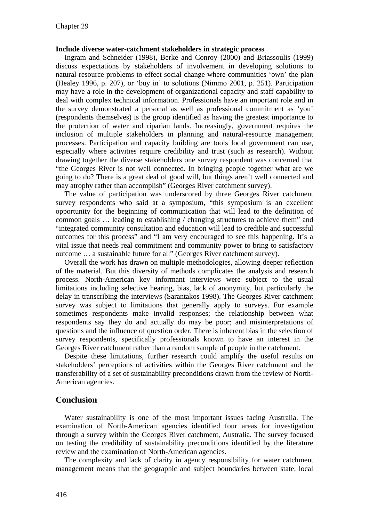#### **Include diverse water-catchment stakeholders in strategic process**

Ingram and Schneider (1998), Berke and Conroy (2000) and Briassoulis (1999) discuss expectations by stakeholders of involvement in developing solutions to natural-resource problems to effect social change where communities 'own' the plan (Healey 1996, p. 207), or 'buy in' to solutions (Nimmo 2001, p. 251). Participation may have a role in the development of organizational capacity and staff capability to deal with complex technical information. Professionals have an important role and in the survey demonstrated a personal as well as professional commitment as 'you' (respondents themselves) is the group identified as having the greatest importance to the protection of water and riparian lands. Increasingly, government requires the inclusion of multiple stakeholders in planning and natural-resource management processes. Participation and capacity building are tools local government can use, especially where activities require credibility and trust (such as research). Without drawing together the diverse stakeholders one survey respondent was concerned that "the Georges River is not well connected. In bringing people together what are we going to do? There is a great deal of good will, but things aren't well connected and may atrophy rather than accomplish" (Georges River catchment survey).

The value of participation was underscored by three Georges River catchment survey respondents who said at a symposium, "this symposium is an excellent opportunity for the beginning of communication that will lead to the definition of common goals … leading to establishing / changing structures to achieve them" and "integrated community consultation and education will lead to credible and successful outcomes for this process" and "I am very encouraged to see this happening. It's a vital issue that needs real commitment and community power to bring to satisfactory outcome … a sustainable future for all" (Georges River catchment survey).

Overall the work has drawn on multiple methodologies, allowing deeper reflection of the material. But this diversity of methods complicates the analysis and research process. North-American key informant interviews were subject to the usual limitations including selective hearing, bias, lack of anonymity, but particularly the delay in transcribing the interviews (Sarantakos 1998). The Georges River catchment survey was subject to limitations that generally apply to surveys. For example sometimes respondents make invalid responses; the relationship between what respondents say they do and actually do may be poor; and misinterpretations of questions and the influence of question order. There is inherent bias in the selection of survey respondents, specifically professionals known to have an interest in the Georges River catchment rather than a random sample of people in the catchment.

Despite these limitations, further research could amplify the useful results on stakeholders' perceptions of activities within the Georges River catchment and the transferability of a set of sustainability preconditions drawn from the review of North-American agencies.

## **Conclusion**

Water sustainability is one of the most important issues facing Australia. The examination of North-American agencies identified four areas for investigation through a survey within the Georges River catchment, Australia. The survey focused on testing the credibility of sustainability preconditions identified by the literature review and the examination of North-American agencies.

The complexity and lack of clarity in agency responsibility for water catchment management means that the geographic and subject boundaries between state, local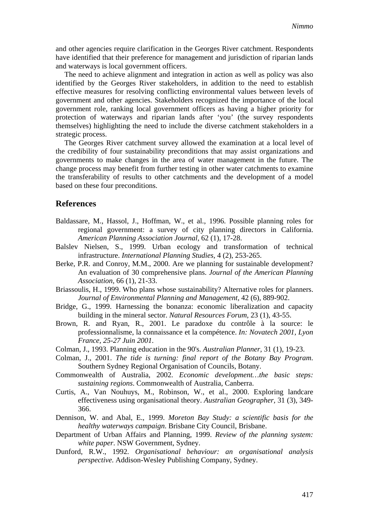and other agencies require clarification in the Georges River catchment. Respondents have identified that their preference for management and jurisdiction of riparian lands and waterways is local government officers.

The need to achieve alignment and integration in action as well as policy was also identified by the Georges River stakeholders, in addition to the need to establish effective measures for resolving conflicting environmental values between levels of government and other agencies. Stakeholders recognized the importance of the local government role, ranking local government officers as having a higher priority for protection of waterways and riparian lands after 'you' (the survey respondents themselves) highlighting the need to include the diverse catchment stakeholders in a strategic process.

The Georges River catchment survey allowed the examination at a local level of the credibility of four sustainability preconditions that may assist organizations and governments to make changes in the area of water management in the future. The change process may benefit from further testing in other water catchments to examine the transferability of results to other catchments and the development of a model based on these four preconditions.

## **References**

- Baldassare, M., Hassol, J., Hoffman, W., et al., 1996. Possible planning roles for regional government: a survey of city planning directors in California. *American Planning Association Journal,* 62 (1), 17-28.
- Balslev Nielsen, S., 1999. Urban ecology and transformation of technical infrastructure. *International Planning Studies,* 4 (2), 253-265.
- Berke, P.R. and Conroy, M.M., 2000. Are we planning for sustainable development? An evaluation of 30 comprehensive plans. *Journal of the American Planning Association,* 66 (1), 21-33.
- Briassoulis, H., 1999. Who plans whose sustainability? Alternative roles for planners. *Journal of Environmental Planning and Management,* 42 (6), 889-902.
- Bridge, G., 1999. Harnessing the bonanza: economic liberalization and capacity building in the mineral sector. *Natural Resources Forum,* 23 (1), 43-55.
- Brown, R. and Ryan, R., 2001. Le paradoxe du contrôle à la source: le professionnalisme, la connaissance et la compétence. *In: Novatech 2001, Lyon France, 25-27 Juin 2001*.
- Colman, J., 1993. Planning education in the 90's. *Australian Planner,* 31 (1), 19-23.
- Colman, J., 2001. *The tide is turning: final report of the Botany Bay Program*. Southern Sydney Regional Organisation of Councils, Botany.
- Commonwealth of Australia, 2002. *Economic development…the basic steps: sustaining regions*. Commonwealth of Australia, Canberra.
- Curtis, A., Van Nouhuys, M., Robinson, W., et al., 2000. Exploring landcare effectiveness using organisational theory. *Australian Geographer,* 31 (3), 349- 366.
- Dennison, W. and Abal, E., 1999. *Moreton Bay Study: a scientific basis for the healthy waterways campaign*. Brisbane City Council, Brisbane.
- Department of Urban Affairs and Planning, 1999. *Review of the planning system: white paper*. NSW Government, Sydney.
- Dunford, R.W., 1992. *Organisational behaviour: an organisational analysis perspective*. Addison-Wesley Publishing Company, Sydney.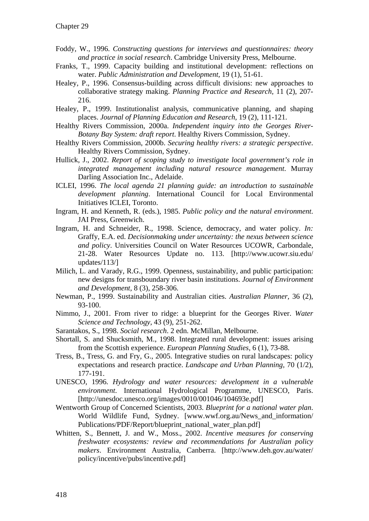- Foddy, W., 1996. *Constructing questions for interviews and questionnaires: theory and practice in social research*. Cambridge University Press, Melbourne.
- Franks, T., 1999. Capacity building and institutional development: reflections on water. *Public Administration and Development,* 19 (1), 51-61.
- Healey, P., 1996. Consensus-building across difficult divisions: new approaches to collaborative strategy making. *Planning Practice and Research,* 11 (2), 207- 216.
- Healey, P., 1999. Institutionalist analysis, communicative planning, and shaping places. *Journal of Planning Education and Research,* 19 (2), 111-121.
- Healthy Rivers Commission, 2000a. *Independent inquiry into the Georges River-Botany Bay System: draft report*. Healthy Rivers Commission, Sydney.
- Healthy Rivers Commission, 2000b. *Securing healthy rivers: a strategic perspective*. Healthy Rivers Commission, Sydney.
- Hullick, J., 2002. *Report of scoping study to investigate local government's role in integrated management including natural resource management*. Murray Darling Association Inc., Adelaide.
- ICLEI, 1996. *The local agenda 21 planning guide: an introduction to sustainable development planning*. International Council for Local Environmental Initiatives ICLEI, Toronto.
- Ingram, H. and Kenneth, R. (eds.), 1985. *Public policy and the natural environment*. JAI Press, Greenwich.
- Ingram, H. and Schneider, R., 1998. Science, democracy, and water policy. *In:* Graffy, E.A. ed. *Decisionmaking under uncertainty: the nexus between science and policy*. Universities Council on Water Resources UCOWR, Carbondale, 21-28. Water Resources Update no. 113. [http://www.ucowr.siu.edu/ updates/113/]
- Milich, L. and Varady, R.G., 1999. Openness, sustainability, and public participation: new designs for transboundary river basin institutions. *Journal of Environment and Development,* 8 (3), 258-306.
- Newman, P., 1999. Sustainability and Australian cities. *Australian Planner,* 36 (2), 93-100.
- Nimmo, J., 2001. From river to ridge: a blueprint for the Georges River. *Water Science and Technology,* 43 (9), 251-262.
- Sarantakos, S., 1998. *Social research*. 2 edn. McMillan, Melbourne.
- Shortall, S. and Shucksmith, M., 1998. Integrated rural development: issues arising from the Scottish experience. *European Planning Studies,* 6 (1), 73-88.
- Tress, B., Tress, G. and Fry, G., 2005. Integrative studies on rural landscapes: policy expectations and research practice. *Landscape and Urban Planning,* 70 (1/2), 177-191.
- UNESCO, 1996. *Hydrology and water resources: development in a vulnerable environment*. International Hydrological Programme, UNESCO, Paris. [http://unesdoc.unesco.org/images/0010/001046/104693e.pdf]
- Wentworth Group of Concerned Scientists, 2003. *Blueprint for a national water plan*. World Wildlife Fund, Sydney. [www.wwf.org.au/News\_and\_information/ Publications/PDF/Report/blueprint\_national\_water\_plan.pdf]
- Whitten, S., Bennett, J. and W., Moss., 2002. *Incentive measures for conserving freshwater ecosystems: review and recommendations for Australian policy makers*. Environment Australia, Canberra. [http://www.deh.gov.au/water/ policy/incentive/pubs/incentive.pdf]